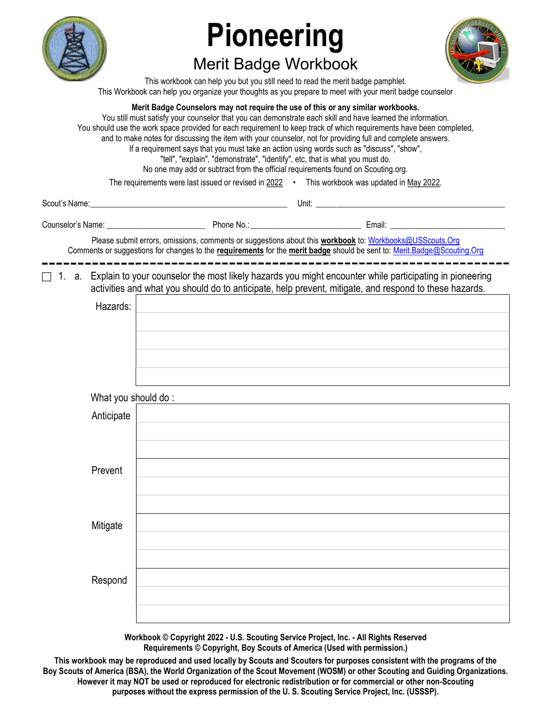

# Pioneering

## Merit Badge Workbook



This workbook can help you but you still need to read the merit badge pamphlet. This Workbook can help you organize your thoughts as you prepare to meet with your merit badge counselor

Merit Badge Counselors may not require the use of this or any similar workbooks. You still must satisfy your counselor that you can demonstrate each skill and have learned the information. You should use the work space provided for each requirement to keep track of which requirements have been completed, and to make notes for discussing the item with your counselor, not for providing full and complete answers. If a requirement says that you must take an action using words such as "discuss", "show", "tell", "explain", "demonstrate", "identify", etc, that is what you must do. No one may add or subtract from the official requirements found on Scouting.org. The requirements were last issued or revised in 2022 • This workbook was updated in May 2022. Scout's Name: \_\_\_\_\_\_\_\_\_\_\_\_\_\_\_\_\_\_\_\_\_\_\_\_\_\_\_\_\_\_\_\_\_\_\_\_\_\_\_\_\_\_\_\_\_\_\_\_ Unit: \_\_\_\_\_\_\_\_\_\_\_\_\_\_\_\_\_\_\_\_\_\_\_\_\_\_\_\_\_\_\_\_\_\_\_\_\_\_\_\_\_\_\_\_\_\_ Counselor's Name: \_\_\_\_\_\_\_\_\_\_\_\_\_\_\_\_\_\_\_\_\_\_\_\_ Phone No.: \_\_\_\_\_\_\_\_\_\_\_\_\_\_\_\_\_\_\_\_\_\_\_\_\_\_\_ Email: \_\_\_\_\_\_\_\_\_\_\_\_\_\_\_\_\_\_\_\_\_\_\_\_\_\_\_\_ Please submit errors, omissions, comments or suggestions about this workbook to: Workbooks@USScouts.Org Comments or suggestions for changes to the requirements for the merit badge should be sent to: Merit.Badge@Scouting.Org  $\Box$  1. a. Explain to your counselor the most likely hazards you might encounter while participating in pioneering activities and what you should do to anticipate, help prevent, mitigate, and respond to these hazards. Hazards: What you should do : Anticipate Prevent Mitigate Respond

> Workbook © Copyright 2022 - U.S. Scouting Service Project, Inc. - All Rights Reserved Requirements © Copyright, Boy Scouts of America (Used with permission.)

This workbook may be reproduced and used locally by Scouts and Scouters for purposes consistent with the programs of the Boy Scouts of America (BSA), the World Organization of the Scout Movement (WOSM) or other Scouting and Guiding Organizations. However it may NOT be used or reproduced for electronic redistribution or for commercial or other non-Scouting purposes without the express permission of the U. S. Scouting Service Project, Inc. (USSSP).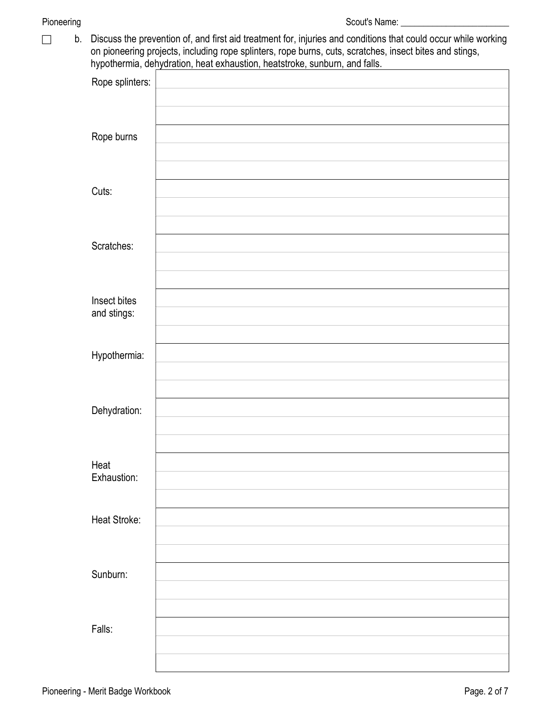b. Discuss the prevention of, and first aid treatment for, injuries and conditions that could occur while working on pioneering projects, including rope splinters, rope burns, cuts, scratches, insect bites and stings, hypothermia, dehydration, heat exhaustion, heatstroke, sunburn, and falls.

| . .<br>Rope splinters: |  |
|------------------------|--|
|                        |  |
| Rope burns             |  |
|                        |  |
| Cuts:                  |  |
|                        |  |
| Scratches:             |  |
|                        |  |
| Insect bites           |  |
| and stings:            |  |
| Hypothermia:           |  |
|                        |  |
| Dehydration:           |  |
|                        |  |
| Heat                   |  |
| Exhaustion:            |  |
| Heat Stroke:           |  |
|                        |  |
| Sunburn:               |  |
|                        |  |
| Falls:                 |  |
|                        |  |
|                        |  |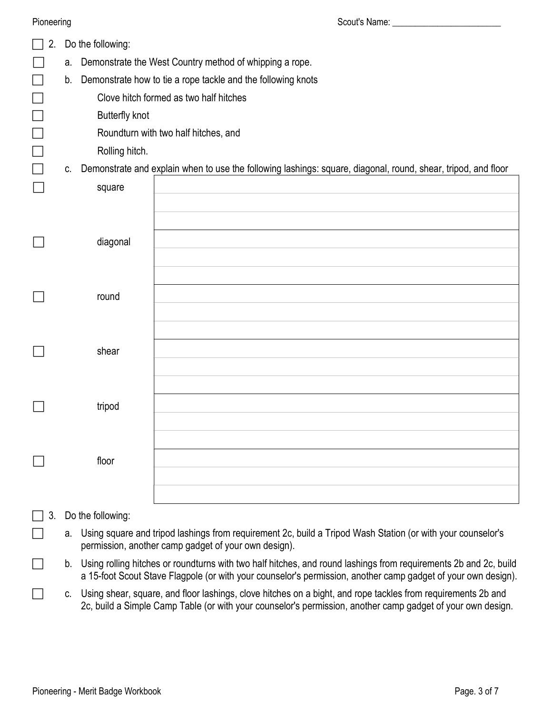| Pioneering |    |                                                         |                                                                                                                                                                                                                                      |  |  |  |  |  |
|------------|----|---------------------------------------------------------|--------------------------------------------------------------------------------------------------------------------------------------------------------------------------------------------------------------------------------------|--|--|--|--|--|
| 2.         |    | Do the following:                                       |                                                                                                                                                                                                                                      |  |  |  |  |  |
|            | a. | Demonstrate the West Country method of whipping a rope. |                                                                                                                                                                                                                                      |  |  |  |  |  |
|            | b. |                                                         | Demonstrate how to tie a rope tackle and the following knots                                                                                                                                                                         |  |  |  |  |  |
|            |    |                                                         | Clove hitch formed as two half hitches                                                                                                                                                                                               |  |  |  |  |  |
|            |    | <b>Butterfly knot</b>                                   |                                                                                                                                                                                                                                      |  |  |  |  |  |
|            |    |                                                         | Roundturn with two half hitches, and                                                                                                                                                                                                 |  |  |  |  |  |
|            |    | Rolling hitch.                                          |                                                                                                                                                                                                                                      |  |  |  |  |  |
|            | C. |                                                         | Demonstrate and explain when to use the following lashings: square, diagonal, round, shear, tripod, and floor                                                                                                                        |  |  |  |  |  |
|            |    | square                                                  |                                                                                                                                                                                                                                      |  |  |  |  |  |
|            |    |                                                         |                                                                                                                                                                                                                                      |  |  |  |  |  |
|            |    |                                                         |                                                                                                                                                                                                                                      |  |  |  |  |  |
|            |    | diagonal                                                |                                                                                                                                                                                                                                      |  |  |  |  |  |
|            |    |                                                         |                                                                                                                                                                                                                                      |  |  |  |  |  |
|            |    |                                                         |                                                                                                                                                                                                                                      |  |  |  |  |  |
|            |    | round                                                   |                                                                                                                                                                                                                                      |  |  |  |  |  |
|            |    |                                                         |                                                                                                                                                                                                                                      |  |  |  |  |  |
|            |    |                                                         |                                                                                                                                                                                                                                      |  |  |  |  |  |
|            |    | shear                                                   |                                                                                                                                                                                                                                      |  |  |  |  |  |
|            |    |                                                         |                                                                                                                                                                                                                                      |  |  |  |  |  |
|            |    |                                                         |                                                                                                                                                                                                                                      |  |  |  |  |  |
|            |    |                                                         |                                                                                                                                                                                                                                      |  |  |  |  |  |
|            |    | tripod                                                  |                                                                                                                                                                                                                                      |  |  |  |  |  |
|            |    |                                                         |                                                                                                                                                                                                                                      |  |  |  |  |  |
|            |    |                                                         |                                                                                                                                                                                                                                      |  |  |  |  |  |
|            |    | floor                                                   |                                                                                                                                                                                                                                      |  |  |  |  |  |
|            |    |                                                         |                                                                                                                                                                                                                                      |  |  |  |  |  |
|            |    |                                                         |                                                                                                                                                                                                                                      |  |  |  |  |  |
|            |    | Do the following:                                       |                                                                                                                                                                                                                                      |  |  |  |  |  |
|            | а. |                                                         | Using square and tripod lashings from requirement 2c, build a Tripod Wash Station (or with your counselor's<br>permission, another camp gadget of your own design).                                                                  |  |  |  |  |  |
|            |    |                                                         | b. Using rolling hitches or roundturns with two half hitches, and round lashings from requirements 2b and 2c, build<br>a 15-foot Scout Stave Flagpole (or with your counselor's permission, another camp gadget of your own design). |  |  |  |  |  |

 c. Using shear, square, and floor lashings, clove hitches on a bight, and rope tackles from requirements 2b and 2c, build a Simple Camp Table (or with your counselor's permission, another camp gadget of your own design.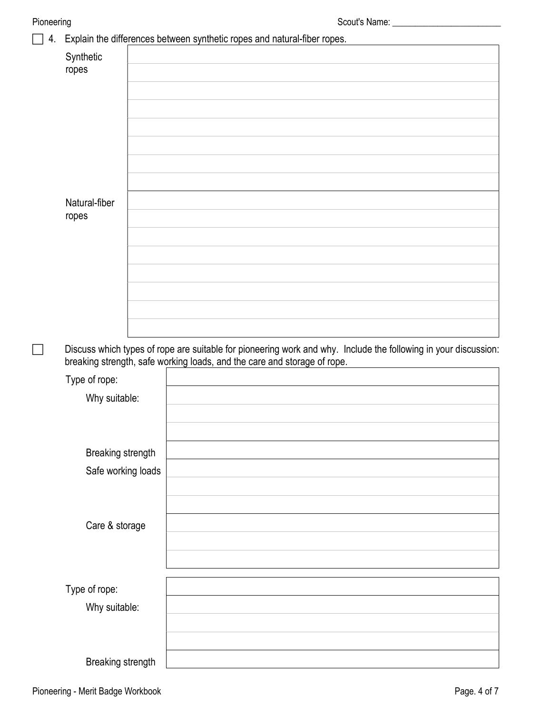## 4. Explain the differences between synthetic ropes and natural-fiber ropes.

| ropes              |                                                                                                                                                                                             |
|--------------------|---------------------------------------------------------------------------------------------------------------------------------------------------------------------------------------------|
|                    |                                                                                                                                                                                             |
|                    |                                                                                                                                                                                             |
|                    |                                                                                                                                                                                             |
|                    |                                                                                                                                                                                             |
|                    |                                                                                                                                                                                             |
|                    |                                                                                                                                                                                             |
| Natural-fiber      |                                                                                                                                                                                             |
| ropes              |                                                                                                                                                                                             |
|                    |                                                                                                                                                                                             |
|                    |                                                                                                                                                                                             |
|                    |                                                                                                                                                                                             |
|                    |                                                                                                                                                                                             |
|                    |                                                                                                                                                                                             |
|                    |                                                                                                                                                                                             |
|                    |                                                                                                                                                                                             |
|                    | Discuss which types of rope are suitable for pioneering work and why. Include the following in your discussion:<br>breaking strength, safe working loads, and the care and storage of rope. |
| Type of rope:      |                                                                                                                                                                                             |
| Why suitable:      |                                                                                                                                                                                             |
|                    |                                                                                                                                                                                             |
|                    |                                                                                                                                                                                             |
|                    |                                                                                                                                                                                             |
|                    |                                                                                                                                                                                             |
| Breaking strength  |                                                                                                                                                                                             |
| Safe working loads |                                                                                                                                                                                             |
|                    |                                                                                                                                                                                             |
|                    |                                                                                                                                                                                             |
| Care & storage     |                                                                                                                                                                                             |
|                    |                                                                                                                                                                                             |
|                    |                                                                                                                                                                                             |
|                    |                                                                                                                                                                                             |
| Type of rope:      |                                                                                                                                                                                             |
| Why suitable:      |                                                                                                                                                                                             |
|                    |                                                                                                                                                                                             |
|                    |                                                                                                                                                                                             |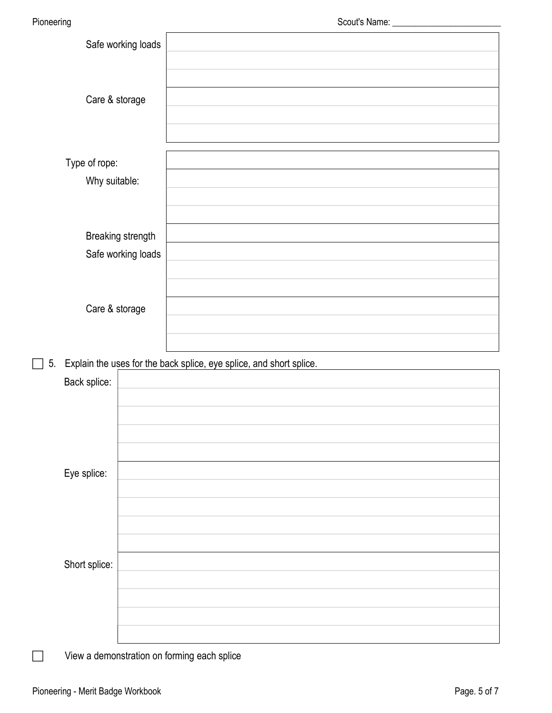|    |                                                                     | Safe working loads                      |  |  |  |  |
|----|---------------------------------------------------------------------|-----------------------------------------|--|--|--|--|
|    | Care & storage                                                      |                                         |  |  |  |  |
|    | Type of rope:<br>Why suitable:                                      |                                         |  |  |  |  |
|    |                                                                     | Breaking strength<br>Safe working loads |  |  |  |  |
|    | Care & storage                                                      |                                         |  |  |  |  |
|    |                                                                     |                                         |  |  |  |  |
|    |                                                                     |                                         |  |  |  |  |
| 5. | Explain the uses for the back splice, eye splice, and short splice. |                                         |  |  |  |  |
|    | Back splice:                                                        |                                         |  |  |  |  |
|    |                                                                     |                                         |  |  |  |  |
|    |                                                                     |                                         |  |  |  |  |
|    |                                                                     |                                         |  |  |  |  |
|    |                                                                     |                                         |  |  |  |  |
|    | Eye splice:                                                         |                                         |  |  |  |  |
|    |                                                                     |                                         |  |  |  |  |
|    |                                                                     |                                         |  |  |  |  |
|    |                                                                     |                                         |  |  |  |  |
|    | Short splice:                                                       |                                         |  |  |  |  |
|    |                                                                     |                                         |  |  |  |  |
|    |                                                                     |                                         |  |  |  |  |
|    |                                                                     |                                         |  |  |  |  |

View a demonstration on forming each splice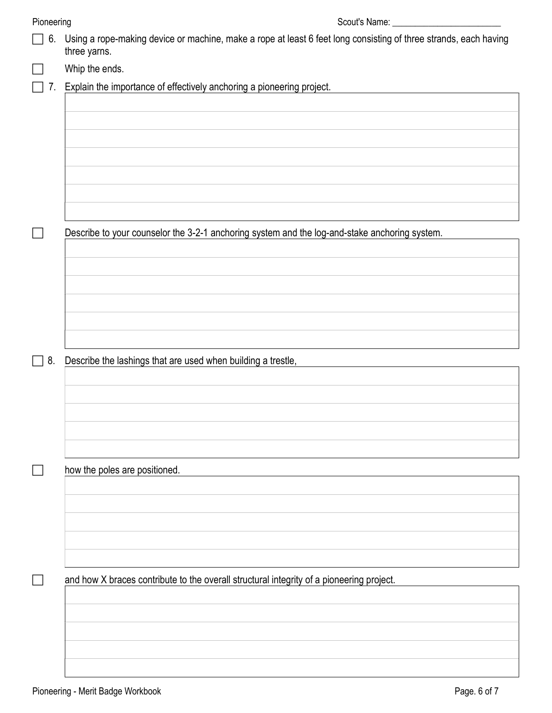| Pioneering | Scout's Name: _                                                                                                                  |
|------------|----------------------------------------------------------------------------------------------------------------------------------|
| 6.         | Using a rope-making device or machine, make a rope at least 6 feet long consisting of three strands, each having<br>three yarns. |
|            | Whip the ends.                                                                                                                   |
| 7.         | Explain the importance of effectively anchoring a pioneering project.                                                            |
|            |                                                                                                                                  |
|            |                                                                                                                                  |
|            |                                                                                                                                  |
|            |                                                                                                                                  |
|            |                                                                                                                                  |
|            |                                                                                                                                  |
|            |                                                                                                                                  |
| $\Box$     | Describe to your counselor the 3-2-1 anchoring system and the log-and-stake anchoring system.                                    |
|            |                                                                                                                                  |
|            |                                                                                                                                  |
|            |                                                                                                                                  |
|            |                                                                                                                                  |
|            |                                                                                                                                  |
|            |                                                                                                                                  |
| $\Box$ 8.  | Describe the lashings that are used when building a trestle,                                                                     |
|            |                                                                                                                                  |
|            |                                                                                                                                  |
|            |                                                                                                                                  |
|            |                                                                                                                                  |
|            |                                                                                                                                  |
|            | how the poles are positioned.                                                                                                    |
|            |                                                                                                                                  |
|            |                                                                                                                                  |
|            |                                                                                                                                  |
|            |                                                                                                                                  |
|            |                                                                                                                                  |
|            | and how X braces contribute to the overall structural integrity of a pioneering project.                                         |
|            |                                                                                                                                  |
|            |                                                                                                                                  |
|            |                                                                                                                                  |
|            |                                                                                                                                  |
|            |                                                                                                                                  |